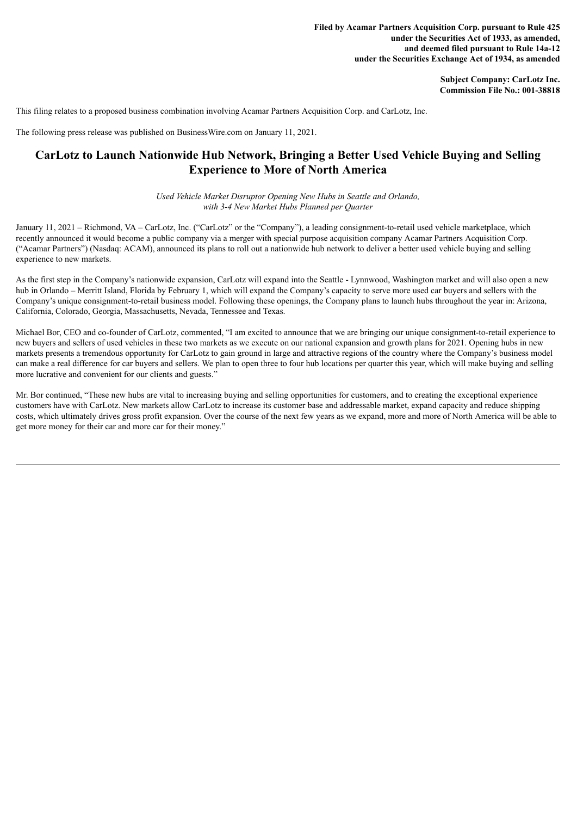**Filed by Acamar Partners Acquisition Corp. pursuant to Rule 425 under the Securities Act of 1933, as amended, and deemed filed pursuant to Rule 14a-12 under the Securities Exchange Act of 1934, as amended**

> **Subject Company: CarLotz Inc. Commission File No.: 001-38818**

This filing relates to a proposed business combination involving Acamar Partners Acquisition Corp. and CarLotz, Inc.

The following press release was published on BusinessWire.com on January 11, 2021.

# **CarLotz to Launch Nationwide Hub Network, Bringing a Better Used Vehicle Buying and Selling Experience to More of North America**

*Used Vehicle Market Disruptor Opening New Hubs in Seattle and Orlando, with 3-4 New Market Hubs Planned per Quarter*

January 11, 2021 – Richmond, VA – CarLotz, Inc. ("CarLotz" or the "Company"), a leading consignment-to-retail used vehicle marketplace, which recently announced it would become a public company via a merger with special purpose acquisition company Acamar Partners Acquisition Corp. ("Acamar Partners") (Nasdaq: ACAM), announced its plans to roll out a nationwide hub network to deliver a better used vehicle buying and selling experience to new markets.

As the first step in the Company's nationwide expansion, CarLotz will expand into the Seattle - Lynnwood, Washington market and will also open a new hub in Orlando – Merritt Island, Florida by February 1, which will expand the Company's capacity to serve more used car buyers and sellers with the Company's unique consignment-to-retail business model. Following these openings, the Company plans to launch hubs throughout the year in: Arizona, California, Colorado, Georgia, Massachusetts, Nevada, Tennessee and Texas.

Michael Bor, CEO and co-founder of CarLotz, commented, "I am excited to announce that we are bringing our unique consignment-to-retail experience to new buyers and sellers of used vehicles in these two markets as we execute on our national expansion and growth plans for 2021. Opening hubs in new markets presents a tremendous opportunity for CarLotz to gain ground in large and attractive regions of the country where the Company's business model can make a real difference for car buyers and sellers. We plan to open three to four hub locations per quarter this year, which will make buying and selling more lucrative and convenient for our clients and guests."

Mr. Bor continued, "These new hubs are vital to increasing buying and selling opportunities for customers, and to creating the exceptional experience customers have with CarLotz. New markets allow CarLotz to increase its customer base and addressable market, expand capacity and reduce shipping costs, which ultimately drives gross profit expansion. Over the course of the next few years as we expand, more and more of North America will be able to get more money for their car and more car for their money."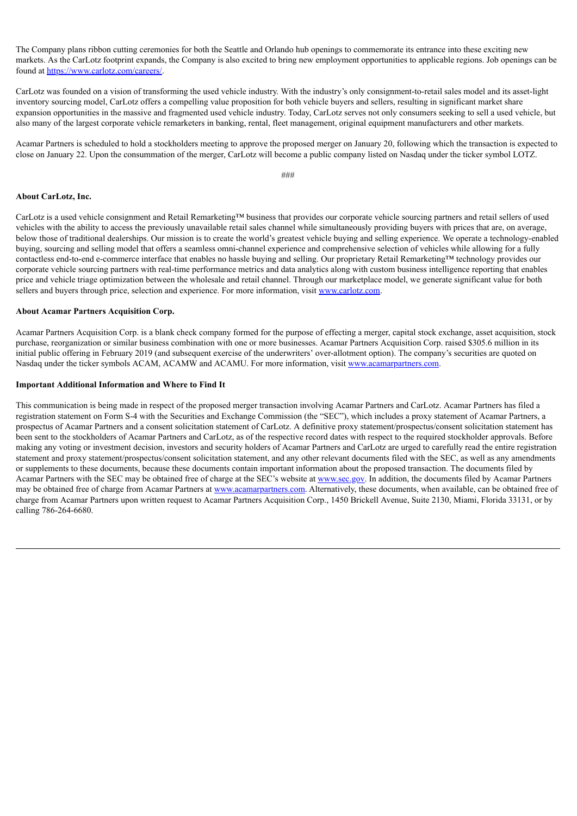The Company plans ribbon cutting ceremonies for both the Seattle and Orlando hub openings to commemorate its entrance into these exciting new markets. As the CarLotz footprint expands, the Company is also excited to bring new employment opportunities to applicable regions. Job openings can be found at https://www.carlotz.com/careers/.

CarLotz was founded on a vision of transforming the used vehicle industry. With the industry's only consignment-to-retail sales model and its asset-light inventory sourcing model, CarLotz offers a compelling value proposition for both vehicle buyers and sellers, resulting in significant market share expansion opportunities in the massive and fragmented used vehicle industry. Today, CarLotz serves not only consumers seeking to sell a used vehicle, but also many of the largest corporate vehicle remarketers in banking, rental, fleet management, original equipment manufacturers and other markets.

Acamar Partners is scheduled to hold a stockholders meeting to approve the proposed merger on January 20, following which the transaction is expected to close on January 22. Upon the consummation of the merger, CarLotz will become a public company listed on Nasdaq under the ticker symbol LOTZ.

###

## **About CarLotz, Inc.**

CarLotz is a used vehicle consignment and Retail Remarketing™ business that provides our corporate vehicle sourcing partners and retail sellers of used vehicles with the ability to access the previously unavailable retail sales channel while simultaneously providing buyers with prices that are, on average, below those of traditional dealerships. Our mission is to create the world's greatest vehicle buying and selling experience. We operate a technology-enabled buying, sourcing and selling model that offers a seamless omni-channel experience and comprehensive selection of vehicles while allowing for a fully contactless end-to-end e-commerce interface that enables no hassle buying and selling. Our proprietary Retail Remarketing™ technology provides our corporate vehicle sourcing partners with real-time performance metrics and data analytics along with custom business intelligence reporting that enables price and vehicle triage optimization between the wholesale and retail channel. Through our marketplace model, we generate significant value for both sellers and buyers through price, selection and experience. For more information, visit www.carlotz.com.

## **About Acamar Partners Acquisition Corp.**

Acamar Partners Acquisition Corp. is a blank check company formed for the purpose of effecting a merger, capital stock exchange, asset acquisition, stock purchase, reorganization or similar business combination with one or more businesses. Acamar Partners Acquisition Corp. raised \$305.6 million in its initial public offering in February 2019 (and subsequent exercise of the underwriters' over-allotment option). The company's securities are quoted on Nasdaq under the ticker symbols ACAM, ACAMW and ACAMU. For more information, visit www.acamarpartners.com.

#### **Important Additional Information and Where to Find It**

This communication is being made in respect of the proposed merger transaction involving Acamar Partners and CarLotz. Acamar Partners has filed a registration statement on Form S-4 with the Securities and Exchange Commission (the "SEC"), which includes a proxy statement of Acamar Partners, a prospectus of Acamar Partners and a consent solicitation statement of CarLotz. A definitive proxy statement/prospectus/consent solicitation statement has been sent to the stockholders of Acamar Partners and CarLotz, as of the respective record dates with respect to the required stockholder approvals. Before making any voting or investment decision, investors and security holders of Acamar Partners and CarLotz are urged to carefully read the entire registration statement and proxy statement/prospectus/consent solicitation statement, and any other relevant documents filed with the SEC, as well as any amendments or supplements to these documents, because these documents contain important information about the proposed transaction. The documents filed by Acamar Partners with the SEC may be obtained free of charge at the SEC's website at www.sec.gov. In addition, the documents filed by Acamar Partners may be obtained free of charge from Acamar Partners at www.acamarpartners.com. Alternatively, these documents, when available, can be obtained free of charge from Acamar Partners upon written request to Acamar Partners Acquisition Corp., 1450 Brickell Avenue, Suite 2130, Miami, Florida 33131, or by calling 786-264-6680.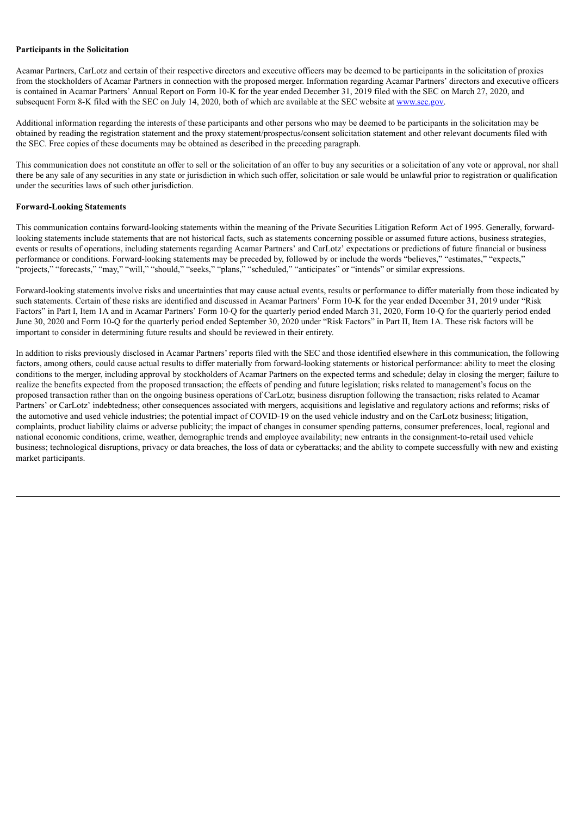## **Participants in the Solicitation**

Acamar Partners, CarLotz and certain of their respective directors and executive officers may be deemed to be participants in the solicitation of proxies from the stockholders of Acamar Partners in connection with the proposed merger. Information regarding Acamar Partners' directors and executive officers is contained in Acamar Partners' Annual Report on Form 10-K for the year ended December 31, 2019 filed with the SEC on March 27, 2020, and subsequent Form 8-K filed with the SEC on July 14, 2020, both of which are available at the SEC website at www.sec.gov.

Additional information regarding the interests of these participants and other persons who may be deemed to be participants in the solicitation may be obtained by reading the registration statement and the proxy statement/prospectus/consent solicitation statement and other relevant documents filed with the SEC. Free copies of these documents may be obtained as described in the preceding paragraph.

This communication does not constitute an offer to sell or the solicitation of an offer to buy any securities or a solicitation of any vote or approval, nor shall there be any sale of any securities in any state or jurisdiction in which such offer, solicitation or sale would be unlawful prior to registration or qualification under the securities laws of such other jurisdiction.

# **Forward-Looking Statements**

This communication contains forward-looking statements within the meaning of the Private Securities Litigation Reform Act of 1995. Generally, forwardlooking statements include statements that are not historical facts, such as statements concerning possible or assumed future actions, business strategies, events or results of operations, including statements regarding Acamar Partners' and CarLotz' expectations or predictions of future financial or business performance or conditions. Forward-looking statements may be preceded by, followed by or include the words "believes," "estimates," "expects," "projects," "forecasts," "may," "will," "should," "seeks," "plans," "scheduled," "anticipates" or "intends" or similar expressions.

Forward-looking statements involve risks and uncertainties that may cause actual events, results or performance to differ materially from those indicated by such statements. Certain of these risks are identified and discussed in Acamar Partners' Form 10-K for the year ended December 31, 2019 under "Risk Factors" in Part I, Item 1A and in Acamar Partners' Form 10-Q for the quarterly period ended March 31, 2020, Form 10-Q for the quarterly period ended June 30, 2020 and Form 10-Q for the quarterly period ended September 30, 2020 under "Risk Factors" in Part II, Item 1A. These risk factors will be important to consider in determining future results and should be reviewed in their entirety.

In addition to risks previously disclosed in Acamar Partners' reports filed with the SEC and those identified elsewhere in this communication, the following factors, among others, could cause actual results to differ materially from forward-looking statements or historical performance: ability to meet the closing conditions to the merger, including approval by stockholders of Acamar Partners on the expected terms and schedule; delay in closing the merger; failure to realize the benefits expected from the proposed transaction; the effects of pending and future legislation; risks related to management's focus on the proposed transaction rather than on the ongoing business operations of CarLotz; business disruption following the transaction; risks related to Acamar Partners' or CarLotz' indebtedness; other consequences associated with mergers, acquisitions and legislative and regulatory actions and reforms; risks of the automotive and used vehicle industries; the potential impact of COVID-19 on the used vehicle industry and on the CarLotz business; litigation, complaints, product liability claims or adverse publicity; the impact of changes in consumer spending patterns, consumer preferences, local, regional and national economic conditions, crime, weather, demographic trends and employee availability; new entrants in the consignment-to-retail used vehicle business; technological disruptions, privacy or data breaches, the loss of data or cyberattacks; and the ability to compete successfully with new and existing market participants.